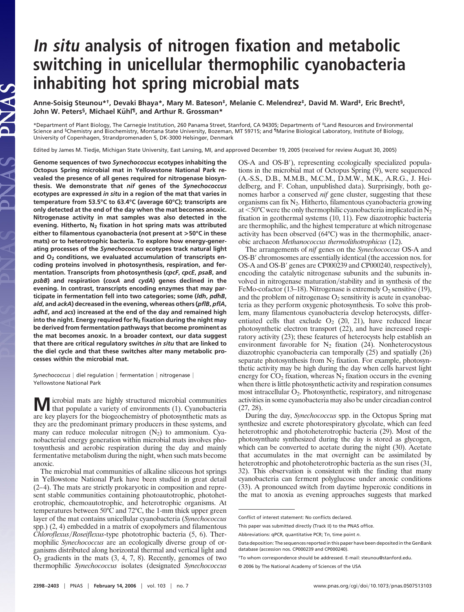# **In situ analysis of nitrogen fixation and metabolic switching in unicellular thermophilic cyanobacteria inhabiting hot spring microbial mats**

**Anne-Soisig Steunou\*†, Devaki Bhaya\*, Mary M. Bateson‡, Melanie C. Melendrez‡, David M. Ward‡, Eric Brecht§, John W. Peters<sup>§</sup>, Michael Kühl<sup>¶</sup>, and Arthur R. Grossman\*** 

\*Department of Plant Biology, The Carnegie Institution, 260 Panama Street, Stanford, CA 94305; Departments of ‡Land Resources and Environmental Science and <sup>§</sup>Chemistry and Biochemistry, Montana State University, Bozeman, MT 59715; and <sup>¶</sup>Marine Biological Laboratory, Institute of Biology, University of Copenhagen, Strandpromenaden 5, DK-3000 Helsingør, Denmark

Edited by James M. Tiedje, Michigan State University, East Lansing, MI, and approved December 19, 2005 (received for review August 30, 2005)

**Genome sequences of two** *Synechococcus* **ecotypes inhabiting the Octopus Spring microbial mat in Yellowstone National Park revealed the presence of all genes required for nitrogenase biosynthesis. We demonstrate that** *nif* **genes of the** *Synechococcus* **ecotypes are expressed** *in situ* **in a region of the mat that varies in temperature from 53.5°C to 63.4°C (average 60°C); transcripts are only detected at the end of the day when the mat becomes anoxic. Nitrogenase activity in mat samples was also detected in the evening. Hitherto, N2 fixation in hot spring mats was attributed either to filamentous cyanobacteria (not present at >50°C in these mats) or to heterotrophic bacteria. To explore how energy-generating processes of the** *Synechococcus* **ecotypes track natural light** and O<sub>2</sub> conditions, we evaluated accumulation of transcripts en**coding proteins involved in photosynthesis, respiration, and fermentation. Transcripts from photosynthesis (***cpcF***,** *cpcE***,** *psaB***, and** *psbB***) and respiration (***coxA* **and** *cydA***) genes declined in the evening. In contrast, transcripts encoding enzymes that may participate in fermentation fell into two categories; some (***ldh***,** *pdhB***,** *ald***, and** *ackA***) decreased in the evening, whereas others (***pflB***,** *pflA***,** *adhE***, and** *acs***) increased at the end of the day and remained high** into the night. Energy required for N<sub>2</sub> fixation during the night may **be derived from fermentation pathways that become prominent as the mat becomes anoxic. In a broader context, our data suggest that there are critical regulatory switches** *in situ* **that are linked to the diel cycle and that these switches alter many metabolic processes within the microbial mat.**

PNAS

*Synechococcus* | diel regulation | fermentation | nitrogenase | Yellowstone National Park

**M** icrobial mats are highly structured microbial communities that populate a variety of environments (1). Cyanobacteria are key players for the biogeochemistry of photosynthetic mats as they are the predominant primary producers in these systems, and many can reduce molecular nitrogen  $(N_2)$  to ammonium. Cyanobacterial energy generation within microbial mats involves photosynthesis and aerobic respiration during the day and mainly fermentative metabolism during the night, when such mats become anoxic.

The microbial mat communities of alkaline siliceous hot springs in Yellowstone National Park have been studied in great detail (2–4). The mats are strictly prokaryotic in composition and represent stable communities containing photoautotrophic, photoheterotrophic, chemoautotrophic, and heterotrophic organisms. At temperatures between 50°C and 72°C, the 1-mm thick upper green layer of the mat contains unicellular cyanobacteria (*Synechococcus* spp.) (2, 4) embedded in a matrix of exopolymers and filamentous *Chloroflexus*-*Roseiflexus*-type phototrophic bacteria (5, 6). Thermophilic *Synechococcus* are an ecologically diverse group of organisms distributed along horizontal thermal and vertical light and  $O<sub>2</sub>$  gradients in the mats  $(3, 4, 7, 8)$ . Recently, genomes of two thermophilic *Synechococcus* isolates (designated *Synechococcus*

OS-A and OS-B), representing ecologically specialized populations in the microbial mat of Octopus Spring (9), were sequenced (A.-S.S., D.B., M.M.B., M.C.M., D.M.W., M.K., A.R.G., J. Heidelberg, and F. Cohan, unpublished data). Surprisingly, both genomes harbor a conserved *nif* gene cluster, suggesting that these organisms can fix N2. Hitherto, filamentous cyanobacteria growing at  $<$  50°C were the only thermophilic cyanobacteria implicated in  $N_2$ fixation in geothermal systems (10, 11). Few diazotrophic bacteria are thermophilic, and the highest temperature at which nitrogenase activity has been observed (64°C) was in the thermophilic, anaerobic archaeon *Methanococcus thermolithotrophicus* (12).

The arrangements of *nif* genes on the *Synechococcus* OS-A and OS-B' chromosomes are essentially identical (the accession nos. for OS-A and OS-B' genes are CP000239 and CP000240, respectively), encoding the catalytic nitrogenase subunits and the subunits involved in nitrogenase maturation/stability and in synthesis of the FeMo-cofactor (13–18). Nitrogenase is extremely  $O_2$  sensitive (19), and the problem of nitrogenase  $O_2$  sensitivity is acute in cyanobacteria as they perform oxygenic photosynthesis. To solve this problem, many filamentous cyanobacteria develop heterocysts, differentiated cells that exclude  $O_2$  (20, 21), have reduced linear photosynthetic electron transport (22), and have increased respiratory activity (23); these features of heterocysts help establish an environment favorable for  $N_2$  fixation (24). Nonheterocystous diazotrophic cyanobacteria can temporally (25) and spatially (26) separate photosynthesis from  $N_2$  fixation. For example, photosynthetic activity may be high during the day when cells harvest light energy for  $CO<sub>2</sub>$  fixation, whereas  $N<sub>2</sub>$  fixation occurs in the evening when there is little photosynthetic activity and respiration consumes most intracellular O<sub>2</sub>. Photosynthetic, respiratory, and nitrogenase activities in some cyanobacteria may also be under circadian control (27, 28).

During the day, *Synechococcus* spp. in the Octopus Spring mat synthesize and excrete photorespiratory glycolate, which can feed heterotrophic and photoheterotrophic bacteria (29). Most of the photosynthate synthesized during the day is stored as glycogen, which can be converted to acetate during the night (30). Acetate that accumulates in the mat overnight can be assimilated by heterotrophic and photoheterotrophic bacteria as the sun rises (31, 32). This observation is consistent with the finding that many cyanobacteria can ferment polyglucose under anoxic conditions (33). A pronounced switch from daytime hyperoxic conditions in the mat to anoxia as evening approaches suggests that marked

Conflict of interest statement: No conflicts declared.

This paper was submitted directly (Track II) to the PNAS office.

Abbreviations: qPCR, quantitative PCR; T*n*, time point *n*.

Data deposition: The sequences reported in this paper have been deposited in the GenBank database (accession nos. CP000239 and CP000240).

<sup>†</sup>To whom correspondence should be addressed. E-mail: steunou@stanford.edu.

<sup>© 2006</sup> by The National Academy of Sciences of the USA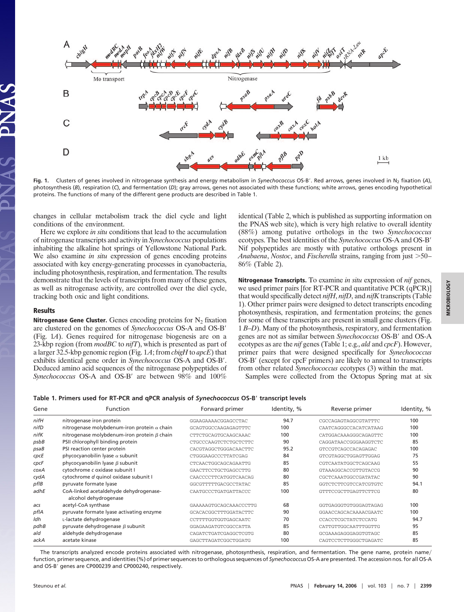

Fig. 1. Clusters of genes involved in nitrogenase synthesis and energy metabolism in Synechococcus OS-B'. Red arrows, genes involved in N<sub>2</sub> fixation (A), photosynthesis (*B*), respiration (*C*), and fermentation (*D*); gray arrows, genes not associated with these functions; white arrows, genes encoding hypothetical proteins. The functions of many of the different gene products are described in Table 1.

changes in cellular metabolism track the diel cycle and light conditions of the environment.

Here we explore *in situ* conditions that lead to the accumulation of nitrogenase transcripts and activity in *Synechococcus* populations inhabiting the alkaline hot springs of Yellowstone National Park. We also examine *in situ* expression of genes encoding proteins associated with key energy-generating processes in cyanobacteria, including photosynthesis, respiration, and fermentation. The results demonstrate that the levels of transcripts from many of these genes, as well as nitrogenase activity, are controlled over the diel cycle, tracking both oxic and light conditions.

### **Results**

**Nitrogenase Gene Cluster.** Genes encoding proteins for N<sub>2</sub> fixation are clustered on the genomes of *Synechococcus* OS-A and OS-B (Fig. 1*A*). Genes required for nitrogenase biogenesis are on a 23-kbp region (from *modBC* to *nifT*), which is presented as part of a larger 32.5-kbp genomic region (Fig. 1*A*; from *cbigH* to *apcE*) that exhibits identical gene order in *Synechococcus* OS-A and OS-B. Deduced amino acid sequences of the nitrogenase polypeptides of Synechococcus OS-A and OS-B' are between 98% and 100% identical (Table 2, which is published as supporting information on the PNAS web site), which is very high relative to overall identity (88%) among putative orthologs in the two *Synechococcus* ecotypes. The best identities of the *Synechococcus* OS-A and OS-B Nif polypeptides are mostly with putative orthologs present in *Anabaena, Nostoc, and Fischerella strains, ranging from just >50–* 86% (Table 2).

**Nitrogenase Transcripts.** To examine *in situ* expression of *nif* genes, we used primer pairs [for RT-PCR and quantitative PCR (qPCR)] that would specifically detect *nifH*, *nifD*, and *nifK* transcripts (Table 1). Other primer pairs were designed to detect transcripts encoding photosynthesis, respiration, and fermentation proteins; the genes for some of these transcripts are present in small gene clusters (Fig. 1 *B*–*D*). Many of the photosynthesis, respiratory, and fermentation genes are not as similar between *Synechococcus* OS-B' and OS-A ecotypes as are the *nif* genes (Table 1; e.g., *ald* and *cpcF*). However, primer pairs that were designed specifically for *Synechococcus* OS-B' (except for cpcF primers) are likely to anneal to transcripts from other related *Synechococcus* ecotypes (3) within the mat.

Samples were collected from the Octopus Spring mat at six

#### **Table 1. Primers used for RT-PCR and qPCR analysis of** *Synechococcus* **OS-B transcript levels**

| Gene       | Function                                                        | Forward primer         | Identity, % | Reverse primer        | Identity, % |
|------------|-----------------------------------------------------------------|------------------------|-------------|-----------------------|-------------|
| nifH       | nitrogenase iron protein                                        | GGAAGAAAACGGAGCCTAC    | 94.7        | CGCCAGAGTAGGCGTATTTC  | 100         |
| nifD       | nitrogenase molybdenum-iron protein $\alpha$ chain              | GCAGTGGCCAAGAGAGTTTC   | 100         | CAATCAGGGCCACATCATAAG | 100         |
| nifK       | nitrogenase molybdenum-iron protein $\beta$ chain               | CTTCTGCAGTGCAAGCAAAC   | 100         | CATGGACAAAGGGCAGAGTTC | 100         |
| psbB       | PSII chlorophyll binding protein                                | CTGCCCAAGTCTCTGCTCTTC  | 90          | CAGGATAACCGGGAAGGTCTC | 85          |
| $p$ sa $B$ | PSI reaction center protein                                     | CACGTAGGCTGGGACAACTTC  | 95.2        | GTCCGTCAGCCACAGAGAC   | 100         |
| cpcE       | phycocyanobilin lyase $\alpha$ subunit                          | CTGGGAAGCCCTTATCGAG    | 84          | GTCGTAGGCTGGAGTTGGAG  | 75          |
| cpcF       | phycocyanobilin lyase $\beta$ subunit                           | CTCAACTGGCAGCAGAATTG   | 85          | CGTCAATATGGCTCAGCAAG  | 55          |
| coxA       | cytochrome c oxidase subunit I                                  | GAACTTCCTGCTGAGCCTTG   | 80          | GTAAAGGCACCGTTGTACCG  | 90          |
| cydA       | cytochrome d quinol oxidase subunit I                           | CAACCCCTTCATGGTCAACAG  | 80          | CGCTCAAATGGCCGATATAC  | 90          |
| pfIB       | pyruvate formate lyase                                          | GGCGTTTTTGACGCCTATAC   | 85          | GGTCTCTTCGTCCATCGTGTC | 94.1        |
| adhE       | CoA-linked acetaldehyde dehydrogenase-<br>alcohol dehydrogenase | CAATGCCCTGATGATTACCC   | 100         | GTTTCCGCTTGAGTTCTTCG  | 80          |
| acs        | acetyl-CoA synthase                                             | GAAAAAGTGCAGCAAACCCTTG | 68          | GGTGAGGGTGTGGGAGTAGAG | 100         |
| pflA       | pyruvate formate lyase activating enzyme                        | GCACACGGCTTTGGATACTTC  | 90          | GGAACCAGCACAAAACGAATC | 100         |
| ldh        | L-lactate dehydrogenase                                         | CCTTTTGGTGGTGAGCAATC   | 70          | CCACCTCGCTATCTCCATG   | 94.7        |
| pdhB       | pyruvate dehydrogenase $\beta$ subunit                          | GGAGAAGATGTCGGCCATTA   | 85          | CATTGTTGGCAATTTGGTTG  | 95          |
| ald        | aldehyde dehydrogenase                                          | CAGATCTGATCGAGGCTCGTG  | 80          | GCGAAAGAGGGAGGTGTAGC  | 85          |
| ackA       | acetate kinase                                                  | GAGCTTAGATCGGCTGGATG   | 100         | CAGTCCTCTTGGGCTGAGATC | 85          |

The transcripts analyzed encode proteins associated with nitrogenase, photosynthesis, respiration, and fermentation. The gene name, protein name function, primer sequence, and identities (%) of primer sequences to orthologous sequences of *Synechococcus* OS-A are presented. The accession nos. for all OS-A and OS-B' genes are CP000239 and CP000240, respectively.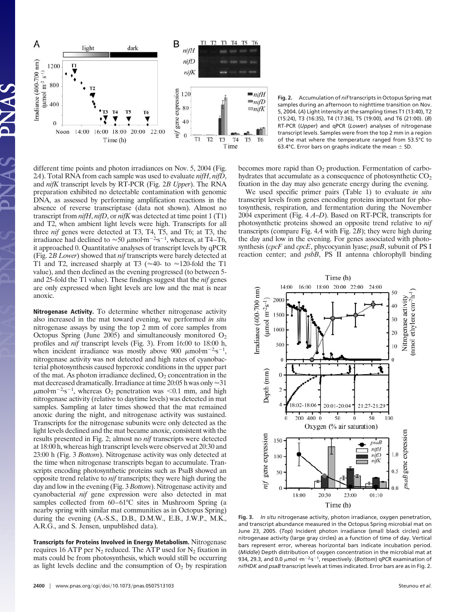

**Fig. 2.** Accumulation of *nif*transcripts in Octopus Spring mat samples during an afternoon to nighttime transition on Nov. 5, 2004. (*A*) Light intensity at the sampling times T1 (13:40), T2 (15:24), T3 (16:35), T4 (17:36), T5 (19:00), and T6 (21:00). (*B*) RT-PCR (*Upper*) and qPCR (*Lower*) analyses of nitrogenase transcript levels. Samples were from the top 2 mm in a region of the mat where the temperature ranged from 53.5°C to 63.4°C. Error bars on graphs indicate the mean  $\pm$  SD.

different time points and photon irradiances on Nov. 5, 2004 (Fig. 2*A*). Total RNA from each sample was used to evaluate *nifH*, *nifD*, and *nifK* transcript levels by RT-PCR (Fig. 2*B Upper*). The RNA preparation exhibited no detectable contamination with genomic DNA, as assessed by performing amplification reactions in the absence of reverse transcriptase (data not shown). Almost no transcript from *nifH*, *nifD*, or *nifK* was detected at time point 1 (T1) and T2, when ambient light levels were high. Transcripts for all three *nif* genes were detected at T3, T4, T5, and T6; at T3, the irradiance had declined to  $\approx 50 \ \mu \text{mol} \cdot \text{m}^{-2} \cdot \text{s}^{-1}$ , whereas, at T4–T6, it approached 0. Quantitative analyses of transcript levels by qPCR (Fig. 2*B Lower*) showed that *nif* transcripts were barely detected at T1 and T2, increased sharply at T3 ( $\approx$  40- to  $\approx$  120-fold the T1 value), and then declined as the evening progressed (to between 5 and 25-fold the T1 value). These findings suggest that the *nif* genes are only expressed when light levels are low and the mat is near anoxic.

**Nitrogenase Activity.** To determine whether nitrogenase activity also increased in the mat toward evening, we performed *in situ* nitrogenase assays by using the top 2 mm of core samples from Octopus Spring (June 2005) and simultaneously monitored  $O_2$ profiles and *nif* transcript levels (Fig. 3). From 16:00 to 18:00 h, when incident irradiance was mostly above 900  $\mu$ mol·m<sup>-2</sup>·s<sup>-1</sup>, nitrogenase activity was not detected and high rates of cyanobacterial photosynthesis caused hyperoxic conditions in the upper part of the mat. As photon irradiance declined,  $O_2$  concentration in the mat decreased dramatically. Irradiance at time 20:05 h was only  $\approx$ 31  $\mu$ mol·m<sup>-2</sup>·s<sup>-1</sup>, whereas O<sub>2</sub> penetration was <0.1 mm, and high nitrogenase activity (relative to daytime levels) was detected in mat samples. Sampling at later times showed that the mat remained anoxic during the night, and nitrogenase activity was sustained. Transcripts for the nitrogenase subunits were only detected as the light levels declined and the mat became anoxic, consistent with the results presented in Fig. 2; almost no *nif* transcripts were detected at 18:00 h, whereas high transcript levels were observed at 20:30 and 23:00 h (Fig. 3 *Bottom*). Nitrogenase activity was only detected at the time when nitrogenase transcripts began to accumulate. Transcripts encoding photosynthetic proteins such as PsaB showed an opposite trend relative to *nif* transcripts; they were high during the day and low in the evening (Fig. 3 *Bottom*). Nitrogenase activity and cyanobacterial *nif* gene expression were also detected in mat samples collected from 60–61°C sites in Mushroom Spring (a nearby spring with similar mat communities as in Octopus Spring) during the evening (A.-S.S., D.B., D.M.W., E.B., J.W.P., M.K., A.R.G., and S. Jensen, unpublished data).

**Transcripts for Proteins Involved in Energy Metabolism.** Nitrogenase requires 16 ATP per  $N_2$  reduced. The ATP used for  $N_2$  fixation in mats could be from photosynthesis, which would still be occurring as light levels decline and the consumption of  $O_2$  by respiration becomes more rapid than  $O_2$  production. Fermentation of carbohydrates that accumulate as a consequence of photosynthetic CO<sub>2</sub> fixation in the day may also generate energy during the evening.

We used specific primer pairs (Table 1) to evaluate *in situ* transcript levels from genes encoding proteins important for photosynthesis, respiration, and fermentation during the November 2004 experiment (Fig. 4 *A*–*D*). Based on RT-PCR, transcripts for photosynthetic proteins showed an opposite trend relative to *nif* transcripts (compare Fig. 4*A* with Fig. 2*B*); they were high during the day and low in the evening. For genes associated with photosynthesis (*cpcF* and *cpcE*, phycocyanin lyase; *psaB*, subunit of PS I reaction center; and *psbB*, PS II antenna chlorophyll binding



**Fig. 3.** *In situ* nitrogenase activity, photon irradiance, oxygen penetration, and transcript abundance measured in the Octopus Spring microbial mat on June 23, 2005. (*Top*) Incident photon irradiance (small black circles) and nitrogenase activity (large gray circles) as a function of time of day. Vertical bars represent error, whereas horizontal bars indicate incubation period. (*Middle*) Depth distribution of oxygen concentration in the microbial mat at 934, 29.3, and 0.0  $\mu$ mol  $\cdot$ m<sup>-2.</sup>s<sup>-1</sup>, respectively. (*Bottom*) qPCR examination of *nifHDK* and *psaB* transcript levels at times indicated. Error bars are as in Fig. 2.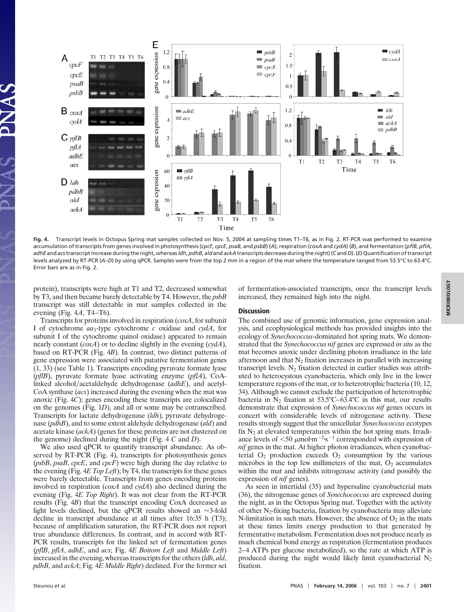

**Fig. 4.** Transcript levels in Octopus Spring mat samples collected on Nov. 5, 2004 at sampling times T1–T6, as in Fig. 2. RT-PCR was performed to examine accumulation of transcripts from genes involved in photosynthesis (cpcF, cpcE, psaB, and psbB) (A), respiration (coxA and cydA) (B), and fermentation (pflB, pflA, adhE and acs transcript increase during the night, whereas Idh, pdhB, ald and ackA transcripts decrease during the night) (C and D). (E) Quantification of transcript levels analyzed by RT-PCR (*A*–*D*) by using qPCR. Samples were from the top 2 mm in a region of the mat where the temperature ranged from 53.5°C to 63.4°C. Error bars are as in Fig. 2.

protein), transcripts were high at T1 and T2, decreased somewhat by T3, and then became barely detectable by T4. However, the *psbB* transcript was still detectable in mat samples collected in the evening (Fig. 4*A*, T4–T6).

Transcripts for proteins involved in respiration (*coxA*, for subunit I of cytochrome *aa*3-type cytochrome *c* oxidase and *cydA*, for subunit I of the cytochrome quinol oxidase) appeared to remain nearly constant (*coxA*) or to decline slightly in the evening (*cydA*), based on RT-PCR (Fig. 4*B*). In contrast, two distinct patterns of gene expression were associated with putative fermentation genes (1, 33) (see Table 1). Transcripts encoding pyruvate formate lyase (*pflB*), pyruvate formate lyase activating enzyme (*pflA*), CoAlinked alcohol/acetaldehyde dehydrogenase (adhE), and acetyl-CoA synthase (*acs*) increased during the evening when the mat was anoxic (Fig. 4*C*); genes encoding these transcripts are colocalized on the genomes (Fig. 1*D*), and all or some may be cotranscribed. Transcripts for lactate dehydrogenase (*ldh*), pyruvate dehydrogenase (*pdhB*), and to some extent aldehyde dehydrogenase (*ald*) and acetate kinase (*ackA*) (genes for these proteins are not clustered on the genome) declined during the night (Fig. 4 *C* and *D*).

We also used qPCR to quantify transcript abundance. As observed by RT-PCR (Fig. 4), transcripts for photosynthesis genes (*psbB*, *psaB*, *cpcE*, and *cpcF*) were high during the day relative to the evening (Fig. 4*E Top Left*); by T4, the transcripts for these genes were barely detectable. Transcripts from genes encoding proteins involved in respiration (*coxA* and *cydA*) also declined during the evening (Fig. 4*E Top Right*). It was not clear from the RT-PCR results (Fig. 4*B*) that the transcript encoding CoxA decreased as light levels declined, but the qPCR results showed an  $\approx$ 3-fold decline in transcript abundance at all times after 16:35 h (T3); because of amplification saturation, the RT-PCR does not report true abundance differences. In contrast, and in accord with RT-PCR results, transcripts for the linked set of fermentation genes (*pflB*, *pflA*, *adhE*, and *acs*; Fig. 4*E Bottom Left* and *Middle Left*) increased in the evening, whereas transcripts for the others (*ldh*, *ald*, *pdhB*, and *ackA*; Fig. 4*E Middle Right*) declined. For the former set of fermentation-associated transcripts, once the transcript levels increased, they remained high into the night.

## **Discussion**

The combined use of genomic information, gene expression analysis, and ecophysiological methods has provided insights into the ecology of *Synechococcus*-dominated hot spring mats. We demonstrated that the *Synechococcus nif* genes are expressed *in situ* as the mat becomes anoxic under declining photon irradiance in the late afternoon and that  $N_2$  fixation increases in parallel with increasing transcript levels.  $N_2$  fixation detected in earlier studies was attributed to heterocystous cyanobacteria, which only live in the lower temperature regions of the mat, or to heterotrophic bacteria (10, 12, 34). Although we cannot exclude the participation of heterotrophic bacteria in N2 fixation at 53.5°C–63.4°C in this mat, our results demonstrate that expression of *Synechococcus nif* genes occurs in concert with considerable levels of nitrogenase activity. These results strongly suggest that the unicellular *Synechococcus* ecotypes fix  $N_2$  at elevated temperatures within the hot spring mats. Irradiance levels of  $\leq 50 \mu$ mol·m<sup>-2</sup>·s<sup>-1</sup> corresponded with expression of *nif* genes in the mat. At higher photon irradiances, when cyanobacterial  $O_2$  production exceeds  $O_2$  consumption by the various microbes in the top few millimeters of the mat,  $O_2$  accumulates within the mat and inhibits nitrogenase activity (and possibly the expression of *nif* genes).

As seen in intertidal (35) and hypersaline cyanobacterial mats (36), the nitrogenase genes of *Synechococcus* are expressed during the night, as in the Octopus Spring mat. Together with the activity of other N2-fixing bacteria, fixation by cyanobacteria may alleviate N-limitation in such mats. However, the absence of  $O_2$  in the mats at these times limits energy production to that generated by fermentative metabolism. Fermentation does not produce nearly as much chemical bond energy as respiration (fermentation produces 2–4 ATPs per glucose metabolized), so the rate at which ATP is produced during the night would likely limit cyanobacterial  $N_2$ fixation.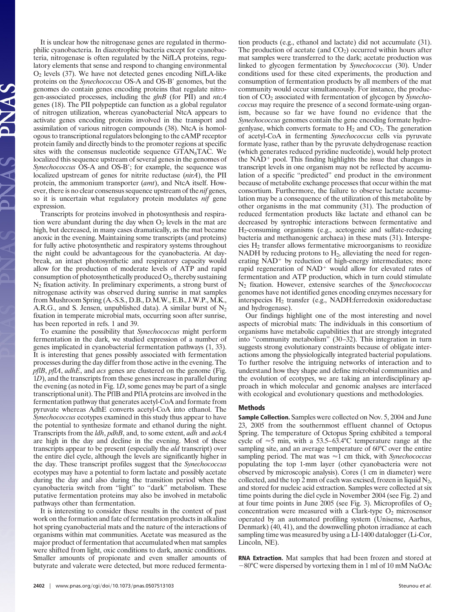It is unclear how the nitrogenase genes are regulated in thermophilic cyanobacteria. In diazotrophic bacteria except for cyanobacteria, nitrogenase is often regulated by the NifLA proteins, regulatory elements that sense and respond to changing environmental O2 levels (37). We have not detected genes encoding NifLA-like proteins on the *Synechococcus* OS-A and OS-B' genomes, but the genomes do contain genes encoding proteins that regulate nitrogen-associated processes, including the *glnB* (for PII) and *ntcA* genes (18). The PII polypeptide can function as a global regulator of nitrogen utilization, whereas cyanobacterial NtcA appears to activate genes encoding proteins involved in the transport and assimilation of various nitrogen compounds (38). NtcA is homologous to transcriptional regulators belonging to the cAMP receptor protein family and directly binds to the promoter regions at specific sites with the consensus nucleotide sequence GTAN<sub>8</sub>TAC. We localized this sequence upstream of several genes in the genomes of *Synechococcus* OS-A and OS-B'; for example, the sequence was localized upstream of genes for nitrite reductase (*nirA*), the PII protein, the ammonium transporter (*amt*), and NtcA itself. However, there is no clear consensus sequence upstream of the *nif* genes, so it is uncertain what regulatory protein modulates *nif* gene expression.

Transcripts for proteins involved in photosynthesis and respiration were abundant during the day when  $O_2$  levels in the mat are high, but decreased, in many cases dramatically, as the mat became anoxic in the evening. Maintaining some transcripts (and proteins) for fully active photosynthetic and respiratory systems throughout the night could be advantageous for the cyanobacteria. At daybreak, an intact photosynthetic and respiratory capacity would allow for the production of moderate levels of ATP and rapid consumption of photosynthetically produced  $O_2$ , thereby sustaining  $N_2$  fixation activity. In preliminary experiments, a strong burst of nitrogenase activity was observed during sunrise in mat samples from Mushroom Spring (A.-S.S., D.B., D.M.W., E.B., J.W.P., M.K., A.R.G., and S. Jensen, unpublished data). A similar burst of  $N_2$ fixation in temperate microbial mats, occurring soon after sunrise, has been reported in refs. 1 and 39.

To examine the possibility that *Synechococcus* might perform fermentation in the dark, we studied expression of a number of genes implicated in cyanobacterial fermentation pathways (1, 33). It is interesting that genes possibly associated with fermentation processes during the day differ from those active in the evening. The *pflB*, *pflA*, *adhE*, and *acs* genes are clustered on the genome (Fig. 1*D*), and the transcripts from these genes increase in parallel during the evening (as noted in Fig. 1*D*, some genes may be part of a single transcriptional unit). The PflB and PflA proteins are involved in the fermentation pathway that generates acetyl-CoA and formate from pyruvate whereas AdhE converts acetyl-CoA into ethanol. The *Synechococcus* ecotypes examined in this study thus appear to have the potential to synthesize formate and ethanol during the night. Transcripts from the *ldh*, *pdhB*, and, to some extent, *adh* and *ackA* are high in the day and decline in the evening. Most of these transcripts appear to be present (especially the *ald* transcript) over the entire diel cycle, although the levels are significantly higher in the day. These transcript profiles suggest that the *Synechococcus* ecotypes may have a potential to form lactate and possibly acetate during the day and also during the transition period when the cyanobacteria switch from ''light'' to ''dark'' metabolism. These putative fermentation proteins may also be involved in metabolic pathways other than fermentation.

It is interesting to consider these results in the context of past work on the formation and fate of fermentation products in alkaline hot spring cyanobacterial mats and the nature of the interactions of organisms within mat communities. Acetate was measured as the major product of fermentation that accumulated when mat samples were shifted from light, oxic conditions to dark, anoxic conditions. Smaller amounts of propionate and even smaller amounts of butyrate and valerate were detected, but more reduced fermentation products (e.g., ethanol and lactate) did not accumulate (31). The production of acetate (and  $CO<sub>2</sub>$ ) occurred within hours after mat samples were transferred to the dark; acetate production was linked to glycogen fermentation by *Synechococcus* (30). Under conditions used for these cited experiments, the production and consumption of fermentation products by all members of the mat community would occur simultaneously. For instance, the production of CO2 associated with fermentation of glycogen by *Synechococcus* may require the presence of a second formate-using organism, because so far we have found no evidence that the *Synechococcus* genomes contain the gene encoding formate hydrogenlyase, which converts formate to  $H_2$  and  $CO_2$ . The generation of acetyl-CoA in fermenting *Synechococcus* cells via pyruvate formate lyase, rather than by the pyruvate dehydrogenase reaction (which generates reduced pyridine nucleotide), would help protect the  $NAD<sup>+</sup>$  pool. This finding highlights the issue that changes in transcript levels in one organism may not be reflected by accumulation of a specific ''predicted'' end product in the environment because of metabolite exchange processes that occur within the mat consortium. Furthermore, the failure to observe lactate accumulation may be a consequence of the utilization of this metabolite by other organisms in the mat community (31). The production of reduced fermentation products like lactate and ethanol can be decreased by syntrophic interactions between fermentative and H2-consuming organisms (e.g., acetogenic and sulfate-reducing bacteria and methanogenic archaea) in these mats (31). Interspecies H2 transfer allows fermentative microorganisms to reoxidize NADH by reducing protons to  $H_2$ , alleviating the need for regenerating  $NAD<sup>+</sup>$  by reduction of high-energy intermediates; more rapid regeneration of  $NAD<sup>+</sup>$  would allow for elevated rates of fermentation and ATP production, which in turn could stimulate N2 fixation. However, extensive searches of the *Synechococcus* genomes have not identified genes encoding enzymes necessary for interspecies H2 transfer (e.g., NADH:ferredoxin oxidoreductase and hydrogenase).

Our findings highlight one of the most interesting and novel aspects of microbial mats: The individuals in this consortium of organisms have metabolic capabilities that are strongly integrated into "community metabolism" (30–32). This integration in turn suggests strong evolutionary constraints because of obligate interactions among the physiologically integrated bacterial populations. To further resolve the intriguing networks of interaction and to understand how they shape and define microbial communities and the evolution of ecotypes, we are taking an interdisciplinary approach in which molecular and genomic analyses are interfaced with ecological and evolutionary questions and methodologies.

## **Methods**

**Sample Collection.** Samples were collected on Nov. 5, 2004 and June 23, 2005 from the southernmost effluent channel of Octopus Spring. The temperature of Octopus Spring exhibited a temporal cycle of  $\approx$  5 min, with a 53.5–63.4°C temperature range at the sampling site, and an average temperature of 60°C over the entire sampling period. The mat was  $\approx$ 1 cm thick, with *Synechococcus* populating the top 1-mm layer (other cyanobacteria were not observed by microscopic analysis). Cores (1 cm in diameter) were collected, and the top 2 mm of each was excised, frozen in liquid  $N_2$ , and stored for nucleic acid extraction. Samples were collected at six time points during the diel cycle in November 2004 (see Fig. 2) and at four time points in June 2005 (see Fig. 3). Microprofiles of  $O_2$ concentration were measured with a Clark-type  $O_2$  microsensor operated by an automated profiling system (Unisense, Aarhus, Denmark) (40, 41), and the downwelling photon irradiance at each sampling time was measured by using a LI-1400 datalogger (Li-Cor, Lincoln, NE).

**RNA Extraction.** Mat samples that had been frozen and stored at 80°C were dispersed by vortexing them in 1 ml of 10 mM NaOAc